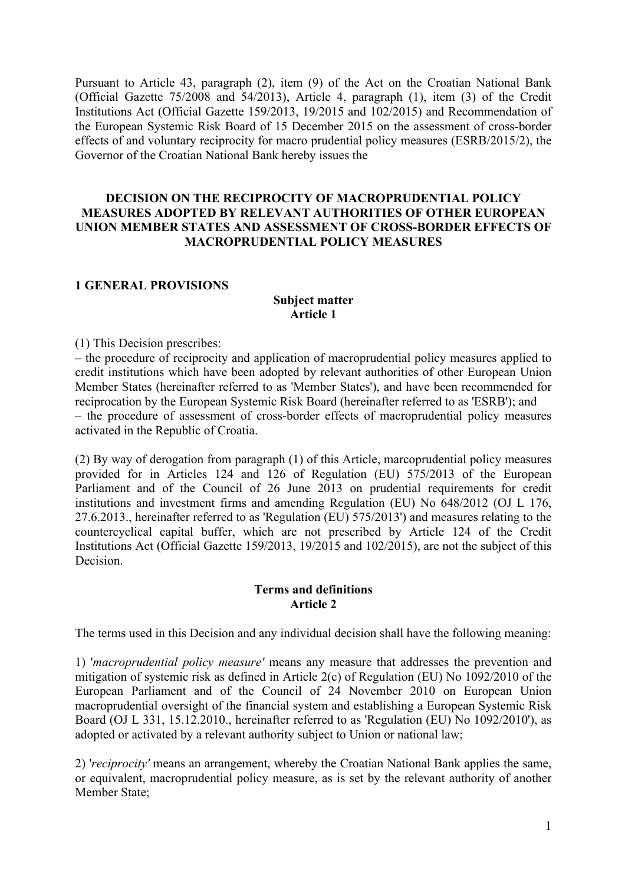Pursuant to Article 43, paragraph (2), item (9) of the Act on the Croatian National Bank (Official Gazette 75/2008 and 54/2013), Article 4, paragraph (1), item (3) of the Credit Institutions Act (Official Gazette 159/2013, 19/2015 and 102/2015) and Recommendation of the European Systemic Risk Board of 15 December 2015 on the assessment of cross-border effects of and voluntary reciprocity for macro prudential policy measures (ESRB/2015/2), the Governor of the Croatian National Bank hereby issues the

# **DECISION ON THE RECIPROCITY OF MACROPRUDENTIAL POLICY MEASURES ADOPTED BY RELEVANT AUTHORITIES OF OTHER EUROPEAN UNION MEMBER STATES AND ASSESSMENT OF CROSS-BORDER EFFECTS OF MACROPRUDENTIAL POLICY MEASURES**

# **1 GENERAL PROVISIONS**

# **Subject matter Article 1**

#### (1) This Decision prescribes:

– the procedure of reciprocity and application of macroprudential policy measures applied to credit institutions which have been adopted by relevant authorities of other European Union Member States (hereinafter referred to as 'Member States'), and have been recommended for reciprocation by the European Systemic Risk Board (hereinafter referred to as 'ESRB'); and – the procedure of assessment of cross-border effects of macroprudential policy measures activated in the Republic of Croatia.

(2) By way of derogation from paragraph (1) of this Article, marcoprudential policy measures provided for in Articles 124 and 126 of Regulation (EU) 575/2013 of the European Parliament and of the Council of 26 June 2013 on prudential requirements for credit institutions and investment firms and amending Regulation (EU) No 648/2012 (OJ L 176, 27.6.2013., hereinafter referred to as 'Regulation (EU) 575/2013') and measures relating to the countercyclical capital buffer, which are not prescribed by Article 124 of the Credit Institutions Act (Official Gazette 159/2013, 19/2015 and 102/2015), are not the subject of this Decision.

#### **Terms and definitions Article 2**

The terms used in this Decision and any individual decision shall have the following meaning:

1) '*macroprudential policy measure'* means any measure that addresses the prevention and mitigation of systemic risk as defined in Article 2(c) of Regulation (EU) No 1092/2010 of the European Parliament and of the Council of 24 November 2010 on European Union macroprudential oversight of the financial system and establishing a European Systemic Risk Board (OJ L 331, 15.12.2010., hereinafter referred to as 'Regulation (EU) No 1092/2010'), as adopted or activated by a relevant authority subject to Union or national law;

2) '*reciprocity'* means an arrangement, whereby the Croatian National Bank applies the same, or equivalent, macroprudential policy measure, as is set by the relevant authority of another Member State;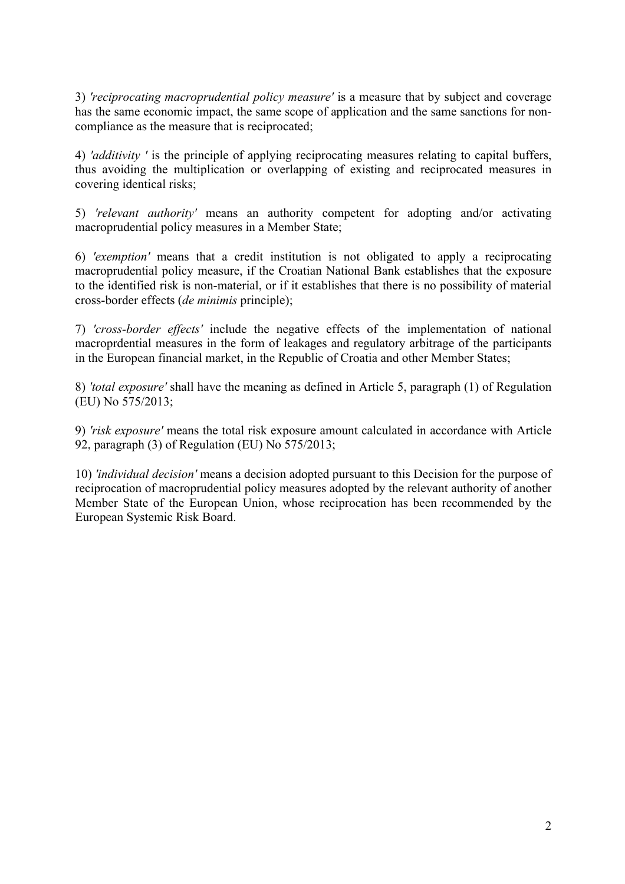3) *'reciprocating macroprudential policy measure'* is a measure that by subject and coverage has the same economic impact, the same scope of application and the same sanctions for noncompliance as the measure that is reciprocated;

4) *'additivity '* is the principle of applying reciprocating measures relating to capital buffers, thus avoiding the multiplication or overlapping of existing and reciprocated measures in covering identical risks;

5) *'relevant authority'* means an authority competent for adopting and/or activating macroprudential policy measures in a Member State;

6) *'exemption'* means that a credit institution is not obligated to apply a reciprocating macroprudential policy measure, if the Croatian National Bank establishes that the exposure to the identified risk is non-material, or if it establishes that there is no possibility of material cross-border effects (*de minimis* principle);

7) *'cross-border effects'* include the negative effects of the implementation of national macroprdential measures in the form of leakages and regulatory arbitrage of the participants in the European financial market, in the Republic of Croatia and other Member States;

8) *'total exposure'* shall have the meaning as defined in Article 5, paragraph (1) of Regulation (EU) No 575/2013;

9) *'risk exposure'* means the total risk exposure amount calculated in accordance with Article 92, paragraph (3) of Regulation (EU) No 575/2013;

10) *'individual decision'* means a decision adopted pursuant to this Decision for the purpose of reciprocation of macroprudential policy measures adopted by the relevant authority of another Member State of the European Union, whose reciprocation has been recommended by the European Systemic Risk Board.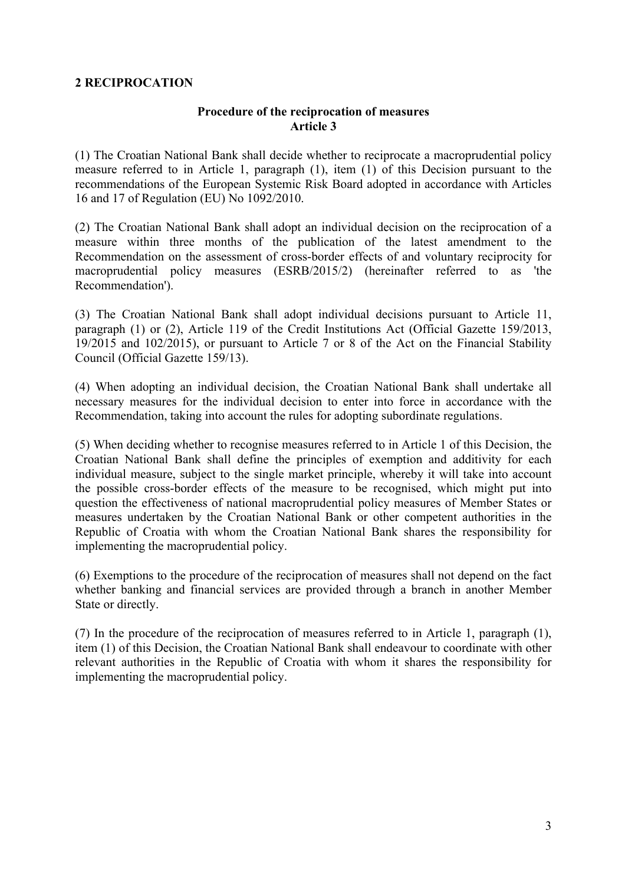### **2 RECIPROCATION**

# **Procedure of the reciprocation of measures Article 3**

(1) The Croatian National Bank shall decide whether to reciprocate a macroprudential policy measure referred to in Article 1, paragraph (1), item (1) of this Decision pursuant to the recommendations of the European Systemic Risk Board adopted in accordance with Articles 16 and 17 of Regulation (EU) No 1092/2010.

(2) The Croatian National Bank shall adopt an individual decision on the reciprocation of a measure within three months of the publication of the latest amendment to the Recommendation on the assessment of cross-border effects of and voluntary reciprocity for macroprudential policy measures (ESRB/2015/2) (hereinafter referred to as 'the Recommendation').

(3) The Croatian National Bank shall adopt individual decisions pursuant to Article 11, paragraph (1) or (2), Article 119 of the Credit Institutions Act (Official Gazette 159/2013, 19/2015 and 102/2015), or pursuant to Article 7 or 8 of the Act on the Financial Stability Council (Official Gazette 159/13).

(4) When adopting an individual decision, the Croatian National Bank shall undertake all necessary measures for the individual decision to enter into force in accordance with the Recommendation, taking into account the rules for adopting subordinate regulations.

(5) When deciding whether to recognise measures referred to in Article 1 of this Decision, the Croatian National Bank shall define the principles of exemption and additivity for each individual measure, subject to the single market principle, whereby it will take into account the possible cross-border effects of the measure to be recognised, which might put into question the effectiveness of national macroprudential policy measures of Member States or measures undertaken by the Croatian National Bank or other competent authorities in the Republic of Croatia with whom the Croatian National Bank shares the responsibility for implementing the macroprudential policy.

(6) Exemptions to the procedure of the reciprocation of measures shall not depend on the fact whether banking and financial services are provided through a branch in another Member State or directly.

(7) In the procedure of the reciprocation of measures referred to in Article 1, paragraph (1), item (1) of this Decision, the Croatian National Bank shall endeavour to coordinate with other relevant authorities in the Republic of Croatia with whom it shares the responsibility for implementing the macroprudential policy.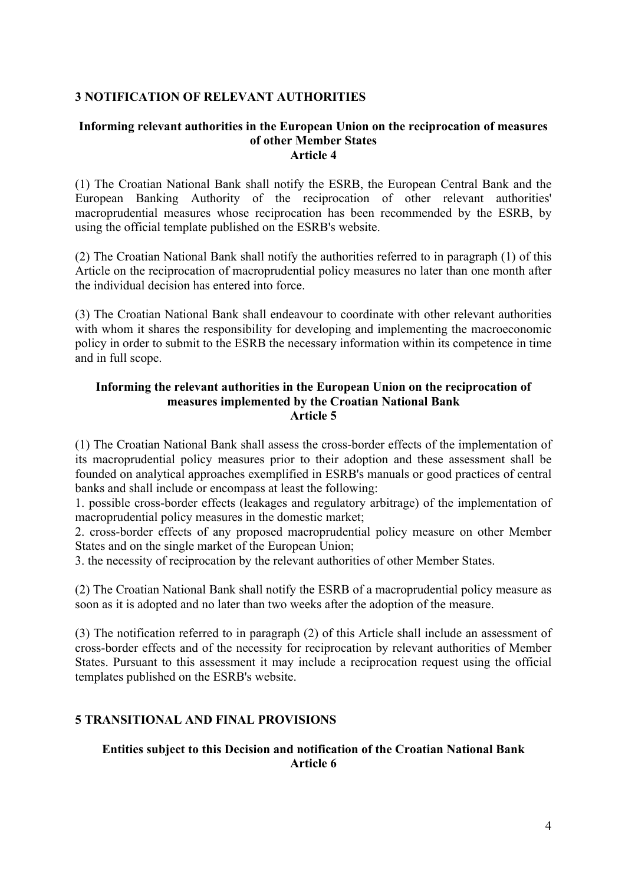# **3 NOTIFICATION OF RELEVANT AUTHORITIES**

#### **Informing relevant authorities in the European Union on the reciprocation of measures of other Member States Article 4**

(1) The Croatian National Bank shall notify the ESRB, the European Central Bank and the European Banking Authority of the reciprocation of other relevant authorities' macroprudential measures whose reciprocation has been recommended by the ESRB, by using the official template published on the ESRB's website.

(2) The Croatian National Bank shall notify the authorities referred to in paragraph (1) of this Article on the reciprocation of macroprudential policy measures no later than one month after the individual decision has entered into force.

(3) The Croatian National Bank shall endeavour to coordinate with other relevant authorities with whom it shares the responsibility for developing and implementing the macroeconomic policy in order to submit to the ESRB the necessary information within its competence in time and in full scope.

#### **Informing the relevant authorities in the European Union on the reciprocation of measures implemented by the Croatian National Bank Article 5**

(1) The Croatian National Bank shall assess the cross-border effects of the implementation of its macroprudential policy measures prior to their adoption and these assessment shall be founded on analytical approaches exemplified in ESRB's manuals or good practices of central banks and shall include or encompass at least the following:

1. possible cross-border effects (leakages and regulatory arbitrage) of the implementation of macroprudential policy measures in the domestic market;

2. cross-border effects of any proposed macroprudential policy measure on other Member States and on the single market of the European Union;

3. the necessity of reciprocation by the relevant authorities of other Member States.

(2) The Croatian National Bank shall notify the ESRB of a macroprudential policy measure as soon as it is adopted and no later than two weeks after the adoption of the measure.

(3) The notification referred to in paragraph (2) of this Article shall include an assessment of cross-border effects and of the necessity for reciprocation by relevant authorities of Member States. Pursuant to this assessment it may include a reciprocation request using the official templates published on the ESRB's website.

# **5 TRANSITIONAL AND FINAL PROVISIONS**

# **Entities subject to this Decision and notification of the Croatian National Bank Article 6**